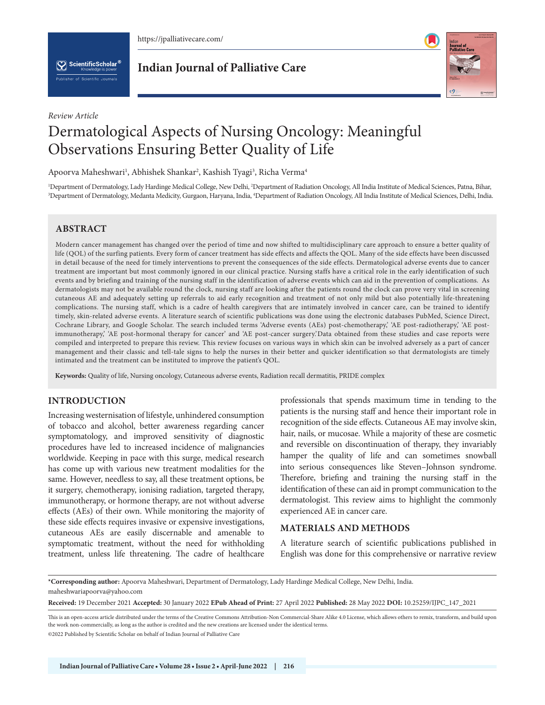

 $\left[\sum_{k}\right]$  ScientificScholar  $^\circ$ 

*Review Article*

**Indian Journal of Palliative Care**



# Dermatological Aspects of Nursing Oncology: Meaningful Observations Ensuring Better Quality of Life

Apoorva Maheshwari<sup>1</sup>, Abhishek Shankar<sup>2</sup>, Kashish Tyagi<sup>3</sup>, Richa Verma<sup>4</sup>

<sup>1</sup>Department of Dermatology, Lady Hardinge Medical College, New Delhi, <sup>2</sup>Department of Radiation Oncology, All India Institute of Medical Sciences, Patna, Bihar,<br><sup>3</sup>Department of Dermatology Medanta Medicity Gurgaon, Har Department of Dermatology, Medanta Medicity, Gurgaon, Haryana, India, 4 Department of Radiation Oncology, All India Institute of Medical Sciences, Delhi, India.

# **ABSTRACT**

Modern cancer management has changed over the period of time and now shifted to multidisciplinary care approach to ensure a better quality of life (QOL) of the surfing patients. Every form of cancer treatment has side effects and affects the QOL. Many of the side effects have been discussed in detail because of the need for timely interventions to prevent the consequences of the side effects. Dermatological adverse events due to cancer treatment are important but most commonly ignored in our clinical practice. Nursing staffs have a critical role in the early identification of such events and by briefing and training of the nursing staff in the identification of adverse events which can aid in the prevention of complications. As dermatologists may not be available round the clock, nursing staff are looking after the patients round the clock can prove very vital in screening cutaneous AE and adequately setting up referrals to aid early recognition and treatment of not only mild but also potentially life-threatening complications. The nursing staff, which is a cadre of health caregivers that are intimately involved in cancer care, can be trained to identify timely, skin-related adverse events. A literature search of scientific publications was done using the electronic databases PubMed, Science Direct, Cochrane Library, and Google Scholar. The search included terms 'Adverse events (AEs) post-chemotherapy,' 'AE post-radiotherapy,' 'AE postimmunotherapy,' 'AE post-hormonal therapy for cancer' and 'AE post-cancer surgery.'Data obtained from these studies and case reports were compiled and interpreted to prepare this review. This review focuses on various ways in which skin can be involved adversely as a part of cancer management and their classic and tell-tale signs to help the nurses in their better and quicker identification so that dermatologists are timely intimated and the treatment can be instituted to improve the patient's QOL.

**Keywords:** Quality of life, Nursing oncology, Cutaneous adverse events, Radiation recall dermatitis, PRIDE complex

# **INTRODUCTION**

Increasing westernisation of lifestyle, unhindered consumption of tobacco and alcohol, better awareness regarding cancer symptomatology, and improved sensitivity of diagnostic procedures have led to increased incidence of malignancies worldwide. Keeping in pace with this surge, medical research has come up with various new treatment modalities for the same. However, needless to say, all these treatment options, be it surgery, chemotherapy, ionising radiation, targeted therapy, immunotherapy, or hormone therapy, are not without adverse effects (AEs) of their own. While monitoring the majority of these side effects requires invasive or expensive investigations, cutaneous AEs are easily discernable and amenable to symptomatic treatment, without the need for withholding treatment, unless life threatening. The cadre of healthcare

professionals that spends maximum time in tending to the patients is the nursing staff and hence their important role in recognition of the side effects. Cutaneous AE may involve skin, hair, nails, or mucosae. While a majority of these are cosmetic and reversible on discontinuation of therapy, they invariably hamper the quality of life and can sometimes snowball into serious consequences like Steven–Johnson syndrome. Therefore, briefing and training the nursing staff in the identification of these can aid in prompt communication to the dermatologist. This review aims to highlight the commonly experienced AE in cancer care.

# **MATERIALS AND METHODS**

A literature search of scientific publications published in English was done for this comprehensive or narrative review

**\*Corresponding author:** Apoorva Maheshwari, Department of Dermatology, Lady Hardinge Medical College, New Delhi, India. maheshwariapoorva@yahoo.com

**Received:** 19 December 2021 **Accepted:** 30 January 2022 **EPub Ahead of Print:** 27 April 2022 **Published:** 28 May 2022 **DOI:** [10.25259/IJPC\\_147\\_2021](https://dx.doi.org/10.25259/IJPC_147_2021)

This is an open-access article distributed under the terms of the Creative Commons Attribution-Non Commercial-Share Alike 4.0 License, which allows others to remix, transform, and build upon the work non-commercially, as long as the author is credited and the new creations are licensed under the identical terms.

©2022 Published by Scientific Scholar on behalf of Indian Journal of Palliative Care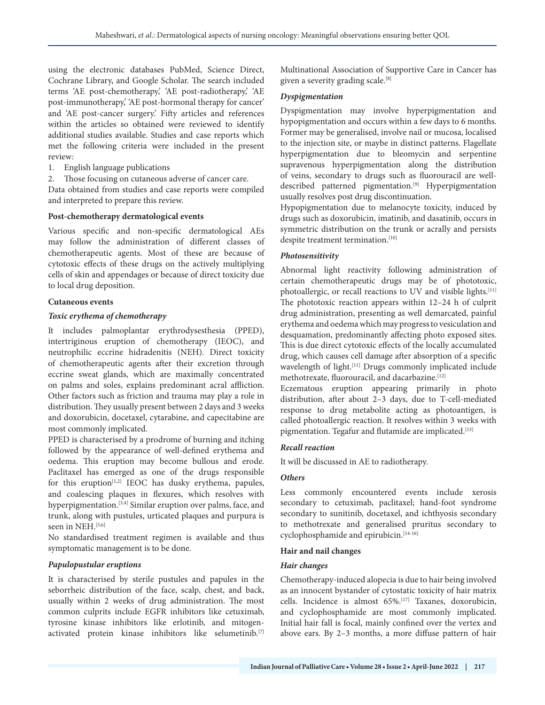using the electronic databases PubMed, Science Direct, Cochrane Library, and Google Scholar. The search included terms 'AE post-chemotherapy,' 'AE post-radiotherapy,' 'AE post-immunotherapy,' 'AE post-hormonal therapy for cancer' and 'AE post-cancer surgery.' Fifty articles and references within the articles so obtained were reviewed to identify additional studies available. Studies and case reports which met the following criteria were included in the present review:

- 1. English language publications
- 2. Those focusing on cutaneous adverse of cancer care.

Data obtained from studies and case reports were compiled and interpreted to prepare this review.

#### **Post-chemotherapy dermatological events**

Various specific and non-specific dermatological AEs may follow the administration of different classes of chemotherapeutic agents. Most of these are because of cytotoxic effects of these drugs on the actively multiplying cells of skin and appendages or because of direct toxicity due to local drug deposition.

### **Cutaneous events**

### *Toxic erythema of chemotherapy*

It includes palmoplantar erythrodysesthesia (PPED), intertriginous eruption of chemotherapy (IEOC), and neutrophilic eccrine hidradenitis (NEH). Direct toxicity of chemotherapeutic agents after their excretion through eccrine sweat glands, which are maximally concentrated on palms and soles, explains predominant acral affliction. Other factors such as friction and trauma may play a role in distribution. They usually present between 2 days and 3 weeks and doxorubicin, docetaxel, cytarabine, and capecitabine are most commonly implicated.

PPED is characterised by a prodrome of burning and itching followed by the appearance of well-defined erythema and oedema. This eruption may become bullous and erode. Paclitaxel has emerged as one of the drugs responsible for this eruption $[1,2]$  IEOC has dusky erythema, papules, and coalescing plaques in flexures, which resolves with hyperpigmentation.<sup>[3,4]</sup> Similar eruption over palms, face, and trunk, along with pustules, urticated plaques and purpura is seen in NEH.<sup>[5,6]</sup>

No standardised treatment regimen is available and thus symptomatic management is to be done.

#### *Papulopustular eruptions*

It is characterised by sterile pustules and papules in the seborrheic distribution of the face, scalp, chest, and back, usually within 2 weeks of drug administration. The most common culprits include EGFR inhibitors like cetuximab, tyrosine kinase inhibitors like erlotinib, and mitogenactivated protein kinase inhibitors like selumetinib.[7]

Multinational Association of Supportive Care in Cancer has given a severity grading scale.<sup>[8]</sup>

#### *Dyspigmentation*

Dyspigmentation may involve hyperpigmentation and hypopigmentation and occurs within a few days to 6 months. Former may be generalised, involve nail or mucosa, localised to the injection site, or maybe in distinct patterns. Flagellate hyperpigmentation due to bleomycin and serpentine supravenous hyperpigmentation along the distribution of veins, secondary to drugs such as fluorouracil are welldescribed patterned pigmentation.<sup>[9]</sup> Hyperpigmentation usually resolves post drug discontinuation.

Hypopigmentation due to melanocyte toxicity, induced by drugs such as doxorubicin, imatinib, and dasatinib, occurs in symmetric distribution on the trunk or acrally and persists despite treatment termination.<sup>[10]</sup>

### *Photosensitivity*

Abnormal light reactivity following administration of certain chemotherapeutic drugs may be of phototoxic, photoallergic, or recall reactions to UV and visible lights.<sup>[11]</sup> The phototoxic reaction appears within 12–24 h of culprit drug administration, presenting as well demarcated, painful erythema and oedema which may progress to vesiculation and desquamation, predominantly affecting photo exposed sites. This is due direct cytotoxic effects of the locally accumulated drug, which causes cell damage after absorption of a specific wavelength of light.<sup>[11]</sup> Drugs commonly implicated include methotrexate, fluorouracil, and dacarbazine.<sup>[12]</sup>

Eczematous eruption appearing primarily in photo distribution, after about 2–3 days, due to T-cell-mediated response to drug metabolite acting as photoantigen, is called photoallergic reaction. It resolves within 3 weeks with pigmentation. Tegafur and flutamide are implicated.<sup>[13]</sup>

#### *Recall reaction*

It will be discussed in AE to radiotherapy.

#### *Others*

Less commonly encountered events include xerosis secondary to cetuximab, paclitaxel; hand-foot syndrome secondary to sunitinib, docetaxel, and ichthyosis secondary to methotrexate and generalised pruritus secondary to cyclophosphamide and epirubicin.[14-16]

#### **Hair and nail changes**

#### *Hair changes*

Chemotherapy-induced alopecia is due to hair being involved as an innocent bystander of cytostatic toxicity of hair matrix cells. Incidence is almost 65%.<sup>[17]</sup> Taxanes, doxorubicin, and cyclophosphamide are most commonly implicated. Initial hair fall is focal, mainly confined over the vertex and above ears. By 2–3 months, a more diffuse pattern of hair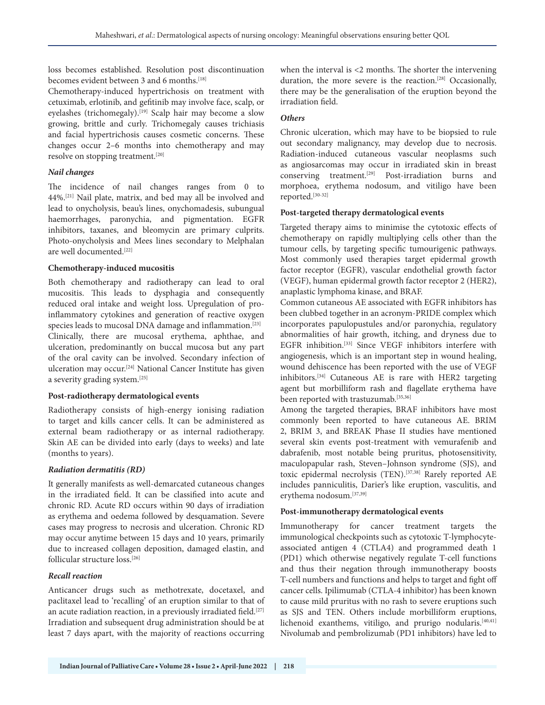loss becomes established. Resolution post discontinuation becomes evident between 3 and 6 months.<sup>[18]</sup>

Chemotherapy-induced hypertrichosis on treatment with cetuximab, erlotinib, and gefitinib may involve face, scalp, or eyelashes (trichomegaly).<sup>[19]</sup> Scalp hair may become a slow growing, brittle and curly. Trichomegaly causes trichiasis and facial hypertrichosis causes cosmetic concerns. These changes occur 2–6 months into chemotherapy and may resolve on stopping treatment.<sup>[20]</sup>

# *Nail changes*

The incidence of nail changes ranges from 0 to 44%.[21] Nail plate, matrix, and bed may all be involved and lead to onycholysis, beau's lines, onychomadesis, subungual haemorrhages, paronychia, and pigmentation. EGFR inhibitors, taxanes, and bleomycin are primary culprits. Photo-onycholysis and Mees lines secondary to Melphalan are well documented.[22]

### **Chemotherapy-induced mucositis**

Both chemotherapy and radiotherapy can lead to oral mucositis. This leads to dysphagia and consequently reduced oral intake and weight loss. Upregulation of proinflammatory cytokines and generation of reactive oxygen species leads to mucosal DNA damage and inflammation.[23] Clinically, there are mucosal erythema, aphthae, and ulceration, predominantly on buccal mucosa but any part of the oral cavity can be involved. Secondary infection of ulceration may occur.[24] National Cancer Institute has given a severity grading system.[25]

# **Post-radiotherapy dermatological events**

Radiotherapy consists of high-energy ionising radiation to target and kills cancer cells. It can be administered as external beam radiotherapy or as internal radiotherapy. Skin AE can be divided into early (days to weeks) and late (months to years).

# *Radiation dermatitis (RD)*

It generally manifests as well-demarcated cutaneous changes in the irradiated field. It can be classified into acute and chronic RD. Acute RD occurs within 90 days of irradiation as erythema and oedema followed by desquamation. Severe cases may progress to necrosis and ulceration. Chronic RD may occur anytime between 15 days and 10 years, primarily due to increased collagen deposition, damaged elastin, and follicular structure loss.[26]

# *Recall reaction*

Anticancer drugs such as methotrexate, docetaxel, and paclitaxel lead to 'recalling' of an eruption similar to that of an acute radiation reaction, in a previously irradiated field.<sup>[27]</sup> Irradiation and subsequent drug administration should be at least 7 days apart, with the majority of reactions occurring when the interval is <2 months. The shorter the intervening duration, the more severe is the reaction.<sup>[28]</sup> Occasionally, there may be the generalisation of the eruption beyond the irradiation field.

# *Others*

Chronic ulceration, which may have to be biopsied to rule out secondary malignancy, may develop due to necrosis. Radiation-induced cutaneous vascular neoplasms such as angiosarcomas may occur in irradiated skin in breast conserving treatment.[29] Post-irradiation burns and morphoea, erythema nodosum, and vitiligo have been reported.[30-32]

# **Post-targeted therapy dermatological events**

Targeted therapy aims to minimise the cytotoxic effects of chemotherapy on rapidly multiplying cells other than the tumour cells, by targeting specific tumourigenic pathways. Most commonly used therapies target epidermal growth factor receptor (EGFR), vascular endothelial growth factor (VEGF), human epidermal growth factor receptor 2 (HER2), anaplastic lymphoma kinase, and BRAF.

Common cutaneous AE associated with EGFR inhibitors has been clubbed together in an acronym-PRIDE complex which incorporates papulopustules and/or paronychia, regulatory abnormalities of hair growth, itching, and dryness due to EGFR inhibition.[33] Since VEGF inhibitors interfere with angiogenesis, which is an important step in wound healing, wound dehiscence has been reported with the use of VEGF inhibitors.[34] Cutaneous AE is rare with HER2 targeting agent but morbilliform rash and flagellate erythema have been reported with trastuzumab.<sup>[35,36]</sup>

Among the targeted therapies, BRAF inhibitors have most commonly been reported to have cutaneous AE. BRIM 2, BRIM 3, and BREAK Phase II studies have mentioned several skin events post-treatment with vemurafenib and dabrafenib, most notable being pruritus, photosensitivity, maculopapular rash, Steven–Johnson syndrome (SJS), and toxic epidermal necrolysis (TEN).<sup>[37,38]</sup> Rarely reported AE includes panniculitis, Darier's like eruption, vasculitis, and erythema nodosum.[37,39]

# **Post-immunotherapy dermatological events**

Immunotherapy for cancer treatment targets the immunological checkpoints such as cytotoxic T-lymphocyteassociated antigen 4 (CTLA4) and programmed death 1 (PD1) which otherwise negatively regulate T-cell functions and thus their negation through immunotherapy boosts T-cell numbers and functions and helps to target and fight off cancer cells. Ipilimumab (CTLA-4 inhibitor) has been known to cause mild pruritus with no rash to severe eruptions such as SJS and TEN. Others include morbilliform eruptions, lichenoid exanthems, vitiligo, and prurigo nodularis. $[40,41]$ Nivolumab and pembrolizumab (PD1 inhibitors) have led to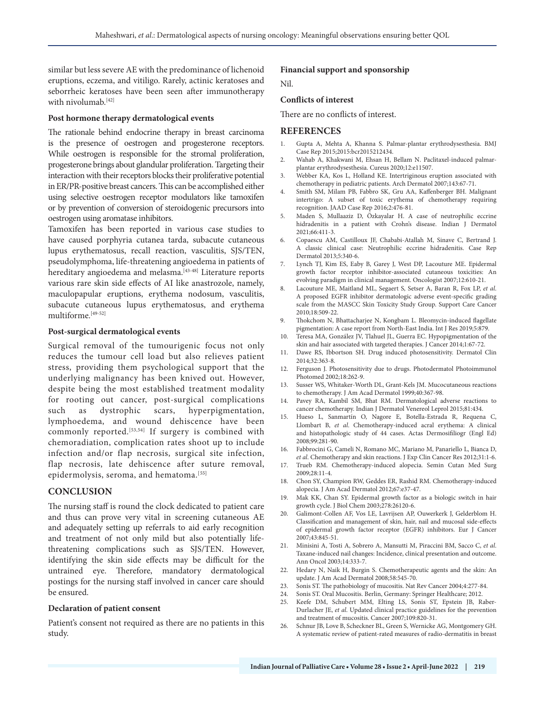similar but less severe AE with the predominance of lichenoid eruptions, eczema, and vitiligo. Rarely, actinic keratoses and seborrheic keratoses have been seen after immunotherapy with nivolumab.<sup>[42]</sup>

## **Post hormone therapy dermatological events**

The rationale behind endocrine therapy in breast carcinoma is the presence of oestrogen and progesterone receptors. While oestrogen is responsible for the stromal proliferation, progesterone brings about glandular proliferation. Targeting their interaction with their receptors blocks their proliferative potential in ER/PR-positive breast cancers. This can be accomplished either using selective oestrogen receptor modulators like tamoxifen or by prevention of conversion of steroidogenic precursors into oestrogen using aromatase inhibitors.

Tamoxifen has been reported in various case studies to have caused porphyria cutanea tarda, subacute cutaneous lupus erythematosus, recall reaction, vasculitis, SJS/TEN, pseudolymphoma, life-threatening angioedema in patients of hereditary angioedema and melasma.<sup>[43-48]</sup> Literature reports various rare skin side effects of AI like anastrozole, namely, maculopapular eruptions, erythema nodosum, vasculitis, subacute cutaneous lupus erythematosus, and erythema multiforme.[49-52]

#### **Post-surgical dermatological events**

Surgical removal of the tumourigenic focus not only reduces the tumour cell load but also relieves patient stress, providing them psychological support that the underlying malignancy has been knived out. However, despite being the most established treatment modality for rooting out cancer, post-surgical complications such as dystrophic scars, hyperpigmentation, lymphoedema, and wound dehiscence have been commonly reported.<sup>[53,54]</sup> If surgery is combined with chemoradiation, complication rates shoot up to include infection and/or flap necrosis, surgical site infection, flap necrosis, late dehiscence after suture removal, epidermolysis, seroma, and hematoma.<sup>[55]</sup>

#### **CONCLUSION**

The nursing staff is round the clock dedicated to patient care and thus can prove very vital in screening cutaneous AE and adequately setting up referrals to aid early recognition and treatment of not only mild but also potentially lifethreatening complications such as SJS/TEN. However, identifying the skin side effects may be difficult for the untrained eye. Therefore, mandatory dermatological postings for the nursing staff involved in cancer care should be ensured.

#### **Declaration of patient consent**

Patient's consent not required as there are no patients in this study.

#### **Financial support and sponsorship**

Nil.

### **Conflicts of interest**

There are no conflicts of interest.

#### **REFERENCES**

- 1. Gupta A, Mehta A, Khanna S. Palmar-plantar erythrodysesthesia. BMJ Case Rep 2015;2015:bcr2015212434.
- 2. Wahab A, Khakwani M, Ehsan H, Bellam N. Paclitaxel-induced palmarplantar erythrodysesthesia. Cureus 2020;12:e11507.
- 3. Webber KA, Kos L, Holland KE. Intertriginous eruption associated with chemotherapy in pediatric patients. Arch Dermatol 2007;143:67-71.
- 4. Smith SM, Milam PB, Fabbro SK, Gru AA, Kaffenberger BH. Malignant intertrigo: A subset of toxic erythema of chemotherapy requiring recognition. JAAD Case Rep 2016;2:476-81.
- 5. Maden S, Mullaaziz D, Özkayalar H. A case of neutrophilic eccrine hidradenitis in a patient with Crohn's disease. Indian J Dermatol 2021;66:411-3.
- 6. Copaescu AM, Castilloux JF, Chababi-Atallah M, Sinave C, Bertrand J. A classic clinical case: Neutrophilic eccrine hidradenitis. Case Rep Dermatol 2013;5:340-6.
- 7. Lynch TJ, Kim ES, Eaby B, Garey J, West DP, Lacouture ME. Epidermal growth factor receptor inhibitor‐associated cutaneous toxicities: An evolving paradigm in clinical management. Oncologist 2007;12:610-21.
- 8. Lacouture ME, Maitland ML, Segaert S, Setser A, Baran R, Fox LP, *et al*. A proposed EGFR inhibitor dermatologic adverse event‐specific grading scale from the MASCC Skin Toxicity Study Group. Support Care Cancer 2010;18:509-22.
- 9. Thokchom N, Bhattacharjee N, Kongbam L. Bleomycin-induced flagellate pigmentation: A case report from North-East India. Int J Res 2019;5:879.
- 10. Teresa MA, González JV, Tlahuel JL, Guerra EC. Hypopigmentation of the skin and hair associated with targeted therapies. J Cancer 2014;1:67-72.
- 11. Dawe RS, Ibbortson SH. Drug induced photosensitivity. Dermatol Clin 2014;32:363-8.
- 12. Ferguson J. Photosensitivity due to drugs. Photodermatol Photoimmunol Photomed 2002;18:262-9.
- 13. Susser WS, Whitaker‐Worth DL, Grant‐Kels JM. Mucocutaneous reactions to chemotherapy. J Am Acad Dermatol 1999;40:367-98.
- 14. Pavey RA, Kambil SM, Bhat RM. Dermatological adverse reactions to cancer chemotherapy. Indian J Dermatol Venereol Leprol 2015;81:434.
- 15. Hueso L, Sanmartín O, Nagore E, Botella-Estrada R, Requena C, Llombart B, *et al*. Chemotherapy-induced acral erythema: A clinical and histopathologic study of 44 cases. Actas Dermosifiliogr (Engl Ed) 2008;99:281-90.
- 16. Fabbrocini G, Cameli N, Romano MC, Mariano M, Panariello L, Bianca D, *et al*. Chemotherapy and skin reactions. J Exp Clin Cancer Res 2012;31:1-6.
- Trueb RM. Chemotherapy-induced alopecia. Semin Cutan Med Surg 2009;28:11-4.
- 18. Chon SY, Champion RW, Geddes ER, Rashid RM. Chemotherapy-induced alopecia. J Am Acad Dermatol 2012;67:e37-47.
- 19. Mak KK, Chan SY. Epidermal growth factor as a biologic switch in hair growth cycle. J Biol Chem 2003;278:26120-6.
- 20. Galimont‐Collen AF, Vos LE, Lavrijsen AP, Ouwerkerk J, Gelderblom H. Classification and management of skin, hair, nail and mucosal side‐effects of epidermal growth factor receptor (EGFR) inhibitors. Eur J Cancer 2007;43:845-51.
- 21. Minisini A, Tosti A, Sobrero A, Mansutti M, Piraccini BM, Sacco C, *et al*. Taxane‐induced nail changes: Incidence, clinical presentation and outcome. Ann Oncol 2003;14:333-7.
- 22. Hedary N, Naik H, Burgin S. Chemotherapeutic agents and the skin: An update. J Am Acad Dermatol 2008;58:545-70.
- 23. Sonis ST. The pathobiology of mucositis. Nat Rev Cancer 2004;4:277-84.
- 24. Sonis ST. Oral Mucositis. Berlin, Germany: Springer Healthcare; 2012.
- 25. Keefe DM, Schubert MM, Elting LS, Sonis ST, Epstein JB, Raber-Durlacher JE, *et al*. Updated clinical practice guidelines for the prevention and treatment of mucositis. Cancer 2007;109:820-31.
- 26. Schnur JB, Love B, Scheckner BL, Green S, Wernicke AG, Montgomery GH. A systematic review of patient‐rated measures of radio-dermatitis in breast